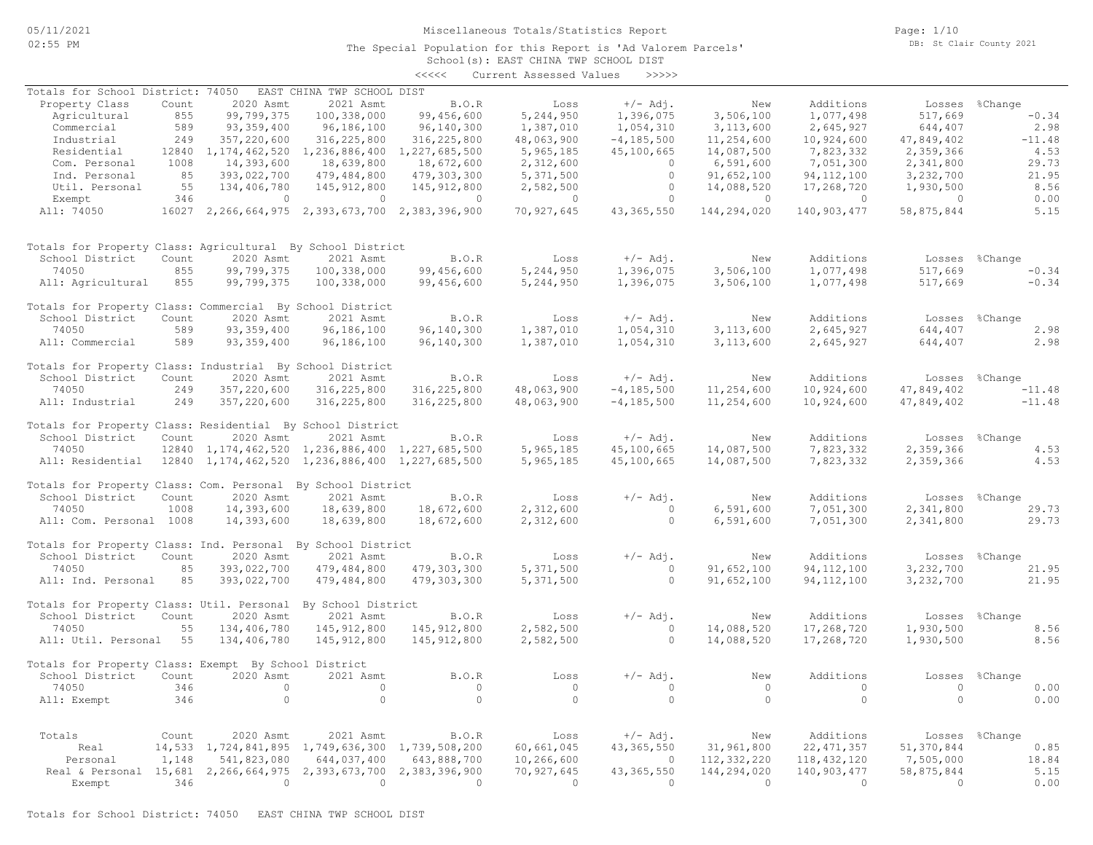The Special Population for this Report is 'Ad Valorem Parcels'

Page: 1/10 DB: St Clair County 2021

### School(s): EAST CHINA TWP SCHOOL DIST <<<<< Current Assessed Values >>>>>

| Totals for School District: 74050                                         |       |                        | EAST CHINA TWP SCHOOL DIST                               |                |                |                |                |                |                |                |
|---------------------------------------------------------------------------|-------|------------------------|----------------------------------------------------------|----------------|----------------|----------------|----------------|----------------|----------------|----------------|
| Property Class                                                            | Count | 2020 Asmt              | 2021 Asmt                                                | <b>B.O.R</b>   | Loss           | $+/-$ Adj.     | New            | Additions      |                | Losses %Change |
| Agricultural                                                              | 855   | 99,799,375             | 100,338,000                                              | 99,456,600     | 5,244,950      | 1,396,075      | 3,506,100      | 1,077,498      | 517,669        | $-0.34$        |
| Commercial                                                                | 589   | 93, 359, 400           | 96,186,100                                               | 96,140,300     | 1,387,010      | 1,054,310      | 3,113,600      | 2,645,927      | 644,407        | 2.98           |
| Industrial                                                                | 249   | 357,220,600            | 316,225,800                                              | 316, 225, 800  | 48,063,900     | $-4, 185, 500$ | 11,254,600     | 10,924,600     | 47,849,402     | $-11.48$       |
| Residential                                                               |       | 12840 1, 174, 462, 520 | 1, 236, 886, 400 1, 227, 685, 500                        |                | 5,965,185      | 45,100,665     | 14,087,500     | 7,823,332      | 2,359,366      | 4.53           |
| Com. Personal                                                             | 1008  | 14,393,600             | 18,639,800                                               | 18,672,600     | 2,312,600      | $\Omega$       | 6,591,600      | 7,051,300      | 2,341,800      | 29.73          |
|                                                                           | 85    |                        |                                                          |                |                | $\circ$        |                |                |                |                |
| Ind. Personal                                                             |       | 393,022,700            | 479,484,800                                              | 479,303,300    | 5,371,500      |                | 91,652,100     | 94, 112, 100   | 3,232,700      | 21.95          |
| Util. Personal                                                            | 55    | 134,406,780            | 145, 912, 800                                            | 145, 912, 800  | 2,582,500      | $\overline{0}$ | 14,088,520     | 17,268,720     | 1,930,500      | 8.56           |
| Exempt                                                                    | 346   | $\overline{0}$         | $\sim$ 0                                                 | $\sim$ 0       | $\sim$ 0       | $\overline{0}$ | $\overline{0}$ | $\overline{0}$ | $\overline{0}$ | 0.00           |
| All: 74050                                                                |       |                        | 16027 2,266,664,975 2,393,673,700 2,383,396,900          |                | 70,927,645     | 43, 365, 550   | 144,294,020    | 140,903,477    | 58,875,844     | 5.15           |
| Totals for Property Class: Agricultural By School District                |       |                        |                                                          |                |                |                |                |                |                |                |
| School District                                                           | Count | 2020 Asmt              | 2021 Asmt                                                | B.O.R          | Loss           | $+/-$ Adj.     | New            | Additions      |                | Losses %Change |
| 74050                                                                     | 855   | 99,799,375             | 100,338,000                                              | 99,456,600     | 5,244,950      | 1,396,075      | 3,506,100      | 1,077,498      | 517,669        | $-0.34$        |
| All: Agricultural                                                         | 855   | 99,799,375             | 100,338,000                                              | 99,456,600     | 5,244,950      | 1,396,075      | 3,506,100      | 1,077,498      | 517,669        | $-0.34$        |
|                                                                           |       |                        |                                                          |                |                |                |                |                |                |                |
| Totals for Property Class: Commercial By School District                  |       |                        |                                                          |                |                |                |                |                |                |                |
| School District                                                           | Count | 2020 Asmt              | 2021 Asmt                                                | B.O.R          | Loss           | $+/-$ Adj.     | New            | Additions      |                | Losses %Change |
| 74050                                                                     | 589   | 93, 359, 400           | 96,186,100                                               | 96,140,300     | 1,387,010      | 1,054,310      | 3,113,600      | 2,645,927      | 644,407        | 2.98           |
| All: Commercial                                                           | 589   | 93, 359, 400           | 96,186,100                                               | 96,140,300     | 1,387,010      | 1,054,310      | 3,113,600      | 2,645,927      | 644,407        | 2.98           |
|                                                                           |       |                        |                                                          |                |                |                |                |                |                |                |
| Totals for Property Class: Industrial By School District                  |       |                        |                                                          |                |                |                |                |                |                |                |
| School District                                                           | Count | 2020 Asmt              | 2021 Asmt                                                | B.O.R          | Loss           | $+/-$ Adj.     | New            | Additions      |                | Losses %Change |
| 74050                                                                     | 249   | 357,220,600            | 316, 225, 800                                            | 316,225,800    | 48,063,900     | $-4, 185, 500$ | 11,254,600     | 10,924,600     | 47,849,402     | $-11.48$       |
| All: Industrial                                                           | 249   | 357,220,600            | 316,225,800                                              | 316,225,800    | 48,063,900     | $-4, 185, 500$ | 11,254,600     | 10,924,600     | 47,849,402     | $-11.48$       |
|                                                                           |       |                        |                                                          |                |                |                |                |                |                |                |
| Totals for Property Class: Residential By School District                 |       |                        |                                                          |                |                |                |                |                |                |                |
| School District                                                           | Count | 2020 Asmt              | 2021 Asmt                                                | B.O.R          | Loss           | $+/-$ Adj.     | New            | Additions      |                | Losses %Change |
| 74050                                                                     |       |                        | 12840 1, 174, 462, 520 1, 236, 886, 400 1, 227, 685, 500 |                | 5,965,185      | 45,100,665     | 14,087,500     | 7,823,332      | 2,359,366      | 4.53           |
| All: Residential 12840 1, 174, 462, 520 1, 236, 886, 400 1, 227, 685, 500 |       |                        |                                                          |                | 5,965,185      | 45,100,665     | 14,087,500     | 7,823,332      | 2,359,366      | 4.53           |
|                                                                           |       |                        |                                                          |                |                |                |                |                |                |                |
| Totals for Property Class: Com. Personal By School District               |       |                        |                                                          |                |                |                |                |                |                |                |
| School District                                                           | Count | 2020 Asmt              | 2021 Asmt                                                | B.O.R          | Loss           | $+/-$ Adj.     | New            | Additions      |                | Losses %Change |
| 74050                                                                     | 1008  | 14,393,600             | 18,639,800                                               | 18,672,600     | 2,312,600      | $\overline{0}$ | 6,591,600      | 7,051,300      | 2,341,800      | 29.73          |
|                                                                           |       |                        |                                                          |                |                | $\bigcirc$     |                |                |                |                |
| All: Com. Personal 1008                                                   |       | 14,393,600             | 18,639,800                                               | 18,672,600     | 2,312,600      |                | 6,591,600      | 7,051,300      | 2,341,800      | 29.73          |
| Totals for Property Class: Ind. Personal By School District               |       |                        |                                                          |                |                |                |                |                |                |                |
| School District                                                           | Count | 2020 Asmt              | 2021 Asmt                                                | B.O.R          |                |                | New            |                |                |                |
|                                                                           |       |                        |                                                          |                | Loss           | $+/-$ Adj.     |                | Additions      |                | Losses %Change |
| 74050                                                                     | 85    | 393,022,700            | 479,484,800                                              | 479,303,300    | 5,371,500      | $\overline{0}$ | 91,652,100     | 94, 112, 100   | 3,232,700      | 21.95          |
| All: Ind. Personal                                                        | 85    | 393,022,700            | 479,484,800                                              | 479,303,300    | 5,371,500      | $\Omega$       | 91,652,100     | 94, 112, 100   | 3,232,700      | 21.95          |
|                                                                           |       |                        |                                                          |                |                |                |                |                |                |                |
| Totals for Property Class: Util. Personal By School District              |       |                        |                                                          |                |                |                |                |                |                |                |
| School District                                                           | Count | 2020 Asmt              | 2021 Asmt                                                | B.O.R          | Loss           | $+/-$ Adj.     | New            | Additions      |                | Losses %Change |
| 74050                                                                     | 55    | 134,406,780            | 145, 912, 800                                            | 145, 912, 800  | 2,582,500      | $\bigcirc$     | 14,088,520     | 17,268,720     | 1,930,500      | 8.56           |
| All: Util. Personal 55                                                    |       | 134,406,780            | 145, 912, 800                                            | 145, 912, 800  | 2,582,500      | $\Omega$       | 14,088,520     | 17,268,720     | 1,930,500      | 8.56           |
|                                                                           |       |                        |                                                          |                |                |                |                |                |                |                |
| Totals for Property Class: Exempt By School District                      |       |                        |                                                          |                |                |                |                |                |                |                |
| School District                                                           | Count | 2020 Asmt              | 2021 Asmt                                                | B.O.R          | Loss           | $+/-$ Adj.     | New            | Additions      |                | Losses %Change |
| 74050                                                                     | 346   | $\overline{0}$         | $\circ$                                                  | $\overline{0}$ | $\overline{0}$ | $\overline{0}$ | $\overline{0}$ | $\overline{0}$ | $\overline{0}$ | 0.00           |
| All: Exempt                                                               | 346   | $\bigcirc$             | $\Omega$                                                 | $\Omega$       | $\overline{0}$ | $\Omega$       | $\bigcirc$     | $\Omega$       | $\Omega$       | 0.00           |
|                                                                           |       |                        |                                                          |                |                |                |                |                |                |                |
|                                                                           |       |                        |                                                          |                |                |                |                |                |                |                |
| Totals                                                                    | Count | 2020 Asmt              | 2021 Asmt                                                | B.O.R          | Loss           | $+/-$ Adj.     | New            | Additions      |                | Losses %Change |
| Real                                                                      |       |                        | 14,533 1,724,841,895 1,749,636,300 1,739,508,200         |                | 60,661,045     | 43, 365, 550   | 31,961,800     | 22, 471, 357   | 51,370,844     | 0.85           |
| Personal                                                                  | 1,148 | 541,823,080            | 644,037,400                                              | 643,888,700    | 10,266,600     | $\overline{0}$ | 112,332,220    | 118, 432, 120  | 7,505,000      | 18.84          |
| Real & Personal 15,681 2,266,664,975 2,393,673,700 2,383,396,900          |       |                        |                                                          |                | 70,927,645     | 43, 365, 550   | 144,294,020    | 140,903,477    | 58,875,844     | 5.15           |
| Exempt                                                                    | 346   | $\overline{0}$         | $\sim$ 0                                                 | $\overline{0}$ | $\sim$ 0       | $\Omega$       | $\Omega$       | $\sim$ 0       | $\overline{0}$ | 0.00           |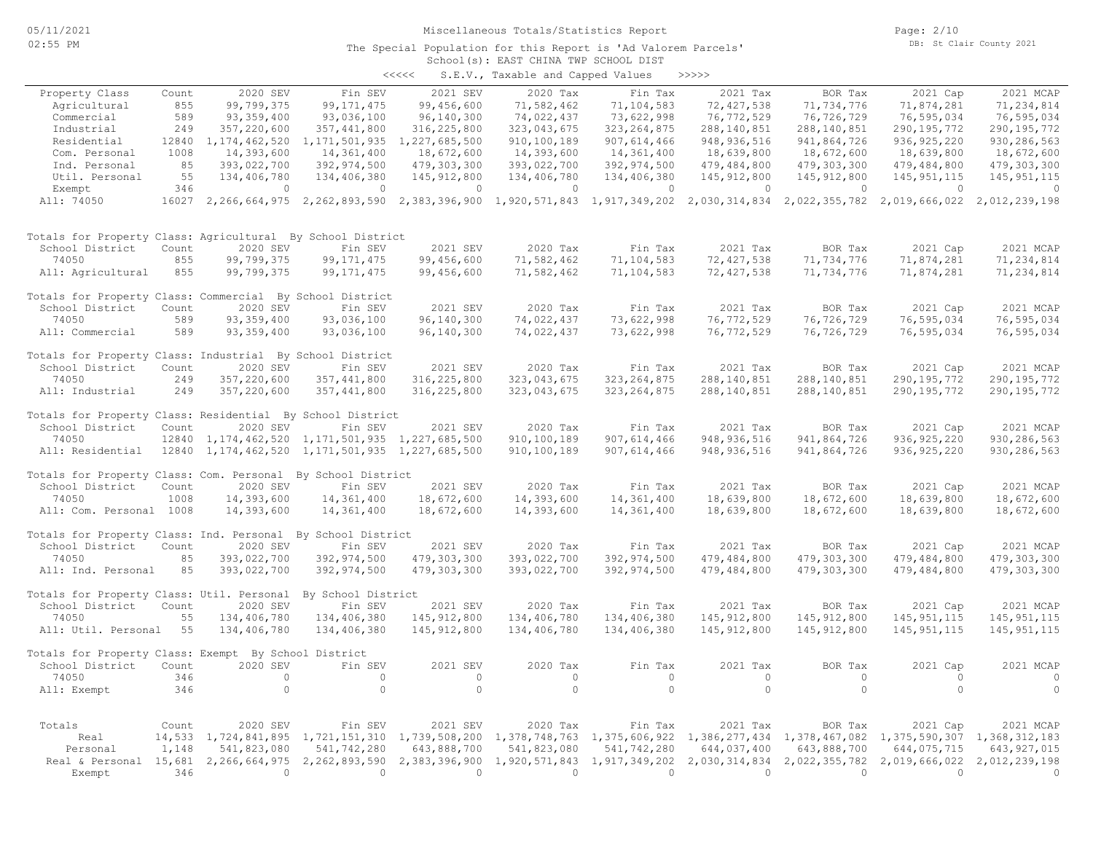Page: 2/10 DB: St Clair County 2021

#### School(s): EAST CHINA TWP SCHOOL DIST The Special Population for this Report is 'Ad Valorem Parcels'

| $\prec$ <<<< | S.E.V., Taxable and Capped Values |  |  | >>>>> |
|--------------|-----------------------------------|--|--|-------|

| Property Class                                                   | Count | 2020 SEV                           | Fin SEV                                                                                                               | 2021 SEV       | 2020 Tax    | Fin Tax                     | 2021 Tax      | BOR Tax       | 2021 Cap      | 2021 MCAP     |
|------------------------------------------------------------------|-------|------------------------------------|-----------------------------------------------------------------------------------------------------------------------|----------------|-------------|-----------------------------|---------------|---------------|---------------|---------------|
| Agricultural                                                     | 855   | 99,799,375                         | 99, 171, 475                                                                                                          | 99,456,600     | 71,582,462  | 71,104,583                  | 72, 427, 538  | 71,734,776    | 71,874,281    | 71,234,814    |
| Commercial                                                       | 589   | 93, 359, 400                       | 93,036,100                                                                                                            | 96,140,300     | 74,022,437  | 73,622,998                  | 76,772,529    | 76,726,729    | 76,595,034    | 76,595,034    |
| Industrial                                                       | 249   | 357,220,600                        | 357, 441, 800                                                                                                         | 316, 225, 800  | 323,043,675 | 323, 264, 875               | 288, 140, 851 | 288, 140, 851 | 290, 195, 772 | 290, 195, 772 |
| Residential                                                      | 12840 | 1, 174, 462, 520                   | 1, 171, 501, 935                                                                                                      | 1,227,685,500  | 910,100,189 | 907, 614, 466               | 948, 936, 516 | 941,864,726   | 936, 925, 220 | 930, 286, 563 |
| Com. Personal                                                    | 1008  | 14,393,600                         | 14,361,400                                                                                                            | 18,672,600     | 14,393,600  | 14,361,400                  | 18,639,800    | 18,672,600    | 18,639,800    | 18,672,600    |
| Ind. Personal                                                    | 85    | 393,022,700                        | 392,974,500                                                                                                           | 479,303,300    | 393,022,700 | 392,974,500                 | 479,484,800   | 479,303,300   | 479,484,800   | 479,303,300   |
| Util. Personal                                                   | 55    | 134,406,780                        | 134,406,380                                                                                                           | 145, 912, 800  | 134,406,780 | 134,406,380                 | 145, 912, 800 | 145, 912, 800 | 145, 951, 115 | 145, 951, 115 |
| Exempt                                                           | 346   | $\circ$                            | $\circ$                                                                                                               | $\circ$        | $\circ$     | $\circ$                     | 0             | $\circ$       | $\circ$       | 0             |
| All: 74050                                                       |       |                                    | 16027 2,266,664,975 2,262,893,590 2,383,396,900 1,920,571,843 1,917,349,202 2,030,314,834 2,022,355,782 2,019,666,022 |                |             |                             |               |               |               | 2,012,239,198 |
| Totals for Property Class: Agricultural By School District       |       |                                    |                                                                                                                       |                |             |                             |               |               |               |               |
| School District                                                  | Count | 2020 SEV                           | Fin SEV                                                                                                               | 2021 SEV       | 2020 Tax    | Fin Tax                     | 2021 Tax      | BOR Tax       | 2021 Cap      | 2021 MCAP     |
| 74050                                                            | 855   | 99,799,375                         | 99, 171, 475                                                                                                          | 99,456,600     | 71,582,462  | 71,104,583                  | 72, 427, 538  | 71,734,776    | 71,874,281    | 71,234,814    |
| All: Agricultural                                                | 855   | 99,799,375                         | 99, 171, 475                                                                                                          | 99,456,600     | 71,582,462  | 71,104,583                  | 72, 427, 538  | 71,734,776    | 71,874,281    | 71,234,814    |
| Totals for Property Class: Commercial By School District         |       |                                    |                                                                                                                       |                |             |                             |               |               |               |               |
| School District                                                  | Count | 2020 SEV                           | Fin SEV                                                                                                               | 2021 SEV       | 2020 Tax    | Fin Tax                     | 2021 Tax      | BOR Tax       | 2021 Cap      | 2021 MCAP     |
| 74050                                                            | 589   | 93, 359, 400                       | 93,036,100                                                                                                            | 96,140,300     | 74,022,437  | 73,622,998                  | 76, 772, 529  | 76,726,729    | 76,595,034    | 76,595,034    |
| All: Commercial                                                  | 589   | 93, 359, 400                       | 93,036,100                                                                                                            | 96,140,300     | 74,022,437  | 73,622,998                  | 76,772,529    | 76,726,729    | 76,595,034    | 76,595,034    |
| Totals for Property Class: Industrial By School District         |       |                                    |                                                                                                                       |                |             |                             |               |               |               |               |
| School District                                                  | Count | 2020 SEV                           | Fin SEV                                                                                                               | 2021 SEV       | 2020 Tax    | Fin Tax                     | 2021 Tax      | BOR Tax       | 2021 Cap      | 2021 MCAP     |
| 74050                                                            | 249   | 357,220,600                        | 357, 441, 800                                                                                                         | 316, 225, 800  | 323,043,675 | 323, 264, 875               | 288, 140, 851 | 288, 140, 851 | 290, 195, 772 | 290, 195, 772 |
| All: Industrial                                                  | 249   | 357,220,600                        | 357, 441, 800                                                                                                         | 316, 225, 800  | 323,043,675 | 323, 264, 875               | 288, 140, 851 | 288, 140, 851 | 290, 195, 772 | 290, 195, 772 |
| Totals for Property Class: Residential By School District        |       |                                    |                                                                                                                       |                |             |                             |               |               |               |               |
| School District                                                  | Count | 2020 SEV                           | Fin SEV                                                                                                               | 2021 SEV       | 2020 Tax    | Fin Tax                     | 2021 Tax      | BOR Tax       | 2021 Cap      | 2021 MCAP     |
| 74050                                                            | 12840 |                                    | 1, 174, 462, 520 1, 171, 501, 935                                                                                     | 1,227,685,500  | 910,100,189 | 907,614,466                 | 948, 936, 516 | 941,864,726   | 936, 925, 220 | 930,286,563   |
| All: Residential                                                 | 12840 |                                    | 1, 174, 462, 520 1, 171, 501, 935                                                                                     | 1,227,685,500  | 910,100,189 | 907, 614, 466               | 948, 936, 516 | 941,864,726   | 936, 925, 220 | 930, 286, 563 |
| Totals for Property Class: Com. Personal By School District      |       |                                    |                                                                                                                       |                |             |                             |               |               |               |               |
| School District                                                  | Count | 2020 SEV                           | Fin SEV                                                                                                               | 2021 SEV       | 2020 Tax    | Fin Tax                     | 2021 Tax      | BOR Tax       | 2021 Cap      | 2021 MCAP     |
| 74050                                                            | 1008  | 14,393,600                         | 14,361,400                                                                                                            | 18,672,600     | 14,393,600  | 14,361,400                  | 18,639,800    | 18,672,600    | 18,639,800    | 18,672,600    |
| All: Com. Personal 1008                                          |       | 14,393,600                         | 14,361,400                                                                                                            | 18,672,600     | 14,393,600  | 14,361,400                  | 18,639,800    | 18,672,600    | 18,639,800    | 18,672,600    |
| Totals for Property Class: Ind. Personal By School District      |       |                                    |                                                                                                                       |                |             |                             |               |               |               |               |
| School District                                                  | Count | 2020 SEV                           | Fin SEV                                                                                                               | 2021 SEV       | 2020 Tax    | Fin Tax                     | 2021 Tax      | BOR Tax       | 2021 Cap      | 2021 MCAP     |
| 74050                                                            | 85    | 393,022,700                        | 392,974,500                                                                                                           | 479,303,300    | 393,022,700 | 392,974,500                 | 479,484,800   | 479,303,300   | 479,484,800   | 479,303,300   |
| All: Ind. Personal                                               | 85    | 393,022,700                        | 392,974,500                                                                                                           | 479,303,300    | 393,022,700 | 392,974,500                 | 479,484,800   | 479,303,300   | 479,484,800   | 479,303,300   |
| Totals for Property Class: Util. Personal                        |       |                                    | By School District                                                                                                    |                |             |                             |               |               |               |               |
| School District                                                  | Count | 2020 SEV                           | Fin SEV                                                                                                               | 2021 SEV       | 2020 Tax    | Fin Tax                     | 2021 Tax      | BOR Tax       | 2021 Cap      | 2021 MCAP     |
| 74050                                                            | 55    | 134,406,780                        | 134,406,380                                                                                                           | 145,912,800    | 134,406,780 | 134,406,380                 | 145, 912, 800 | 145, 912, 800 | 145, 951, 115 | 145, 951, 115 |
| All: Util. Personal                                              | 55    | 134,406,780                        | 134,406,380                                                                                                           | 145, 912, 800  | 134,406,780 | 134,406,380                 | 145, 912, 800 | 145, 912, 800 | 145, 951, 115 | 145, 951, 115 |
| Totals for Property Class: Exempt By School District             |       |                                    |                                                                                                                       |                |             |                             |               |               |               |               |
| School District                                                  | Count | 2020 SEV                           | Fin SEV                                                                                                               | 2021 SEV       | 2020 Tax    | Fin Tax                     | 2021 Tax      | BOR Tax       | 2021 Cap      | 2021 MCAP     |
| 74050                                                            | 346   | $\circ$                            | $\circ$                                                                                                               | $\circ$        | $\circ$     | $\circ$                     | $\circ$       | $\circ$       | $\circ$       | $\circ$       |
| All: Exempt                                                      | 346   | $\circ$                            | $\circ$                                                                                                               | $\overline{0}$ | $\circ$     | $\circ$                     | $\Omega$      | $\circ$       | $\circ$       | $\circ$       |
| Totals                                                           | Count | 2020 SEV                           | Fin SEV                                                                                                               | 2021 SEV       | 2020 Tax    | Fin Tax                     | 2021 Tax      | BOR Tax       | 2021 Cap      | 2021 MCAP     |
| Real                                                             |       | 14,533 1,724,841,895 1,721,151,310 |                                                                                                                       | 1,739,508,200  |             | 1,378,748,763 1,375,606,922 | 1,386,277,434 | 1,378,467,082 | 1,375,590,307 | 1,368,312,183 |
| Personal                                                         | 1,148 | 541,823,080                        | 541,742,280                                                                                                           | 643,888,700    | 541,823,080 | 541,742,280                 | 644,037,400   | 643,888,700   | 644,075,715   | 643, 927, 015 |
| Real & Personal 15,681 2,266,664,975 2,262,893,590 2,383,396,900 |       |                                    |                                                                                                                       |                |             | 1,920,571,843 1,917,349,202 | 2,030,314,834 | 2,022,355,782 | 2,019,666,022 | 2,012,239,198 |
| Exempt                                                           | 346   | $\Omega$                           | $\Omega$                                                                                                              | $\Omega$       | $\Omega$    | $\Omega$                    | $\Omega$      | $\Omega$      | $\Omega$      | $\Omega$      |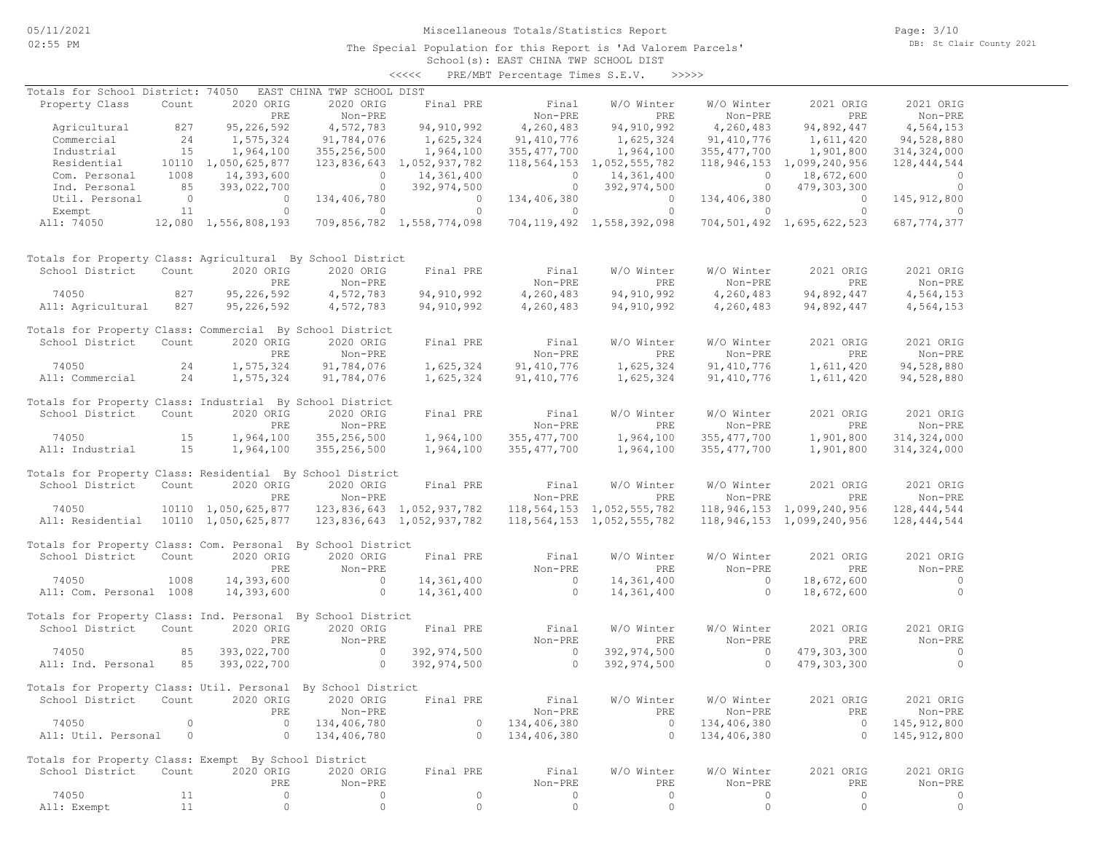The Special Population for this Report is 'Ad Valorem Parcels'

Page: 3/10 DB: St Clair County 2021

School(s): EAST CHINA TWP SCHOOL DIST <<<<< PRE/MBT Percentage Times S.E.V. >>>>>

| Totals for School District: 74050                            |                                         |                                                                                                                                                                                                                                                                                                                                 | EAST CHINA TWP SCHOOL DIST            |                                                              |                                       |                                |                            |                                    |                |
|--------------------------------------------------------------|-----------------------------------------|---------------------------------------------------------------------------------------------------------------------------------------------------------------------------------------------------------------------------------------------------------------------------------------------------------------------------------|---------------------------------------|--------------------------------------------------------------|---------------------------------------|--------------------------------|----------------------------|------------------------------------|----------------|
| Property Class                                               | Count                                   | 2020 ORIG                                                                                                                                                                                                                                                                                                                       | 2020 ORIG                             |                                                              | Final PRE Final                       | W/O Winter                     | W/O Winter                 | 2021 ORIG                          | 2021 ORIG      |
|                                                              |                                         | PRE                                                                                                                                                                                                                                                                                                                             | Non-PRE                               |                                                              | Non-PRE                               | PRE                            | Non-PRE                    | PRE                                | Non-PRE        |
| Agricultural                                                 | 827                                     | 95, 226, 592                                                                                                                                                                                                                                                                                                                    | 4,572,783                             | 94, 910, 992                                                 | 4,260,483                             | 94, 910, 992                   | 4,260,483                  | 94,892,447                         | 4,564,153      |
| Commercial                                                   |                                         | 1,575,324                                                                                                                                                                                                                                                                                                                       | 91,784,076                            |                                                              | 91,410,776                            | 1,625,324                      | 91,410,776                 | 1,611,420                          | 94,528,880     |
| Industrial                                                   | $\begin{array}{c} 24 \\ 15 \end{array}$ | 1,964,100                                                                                                                                                                                                                                                                                                                       | 355,256,500                           | 1,625,324<br>1,964,100                                       | 355, 477, 700                         | 1,964,100                      | 355, 477, 700              | 1,901,800                          | 314,324,000    |
| Residential                                                  |                                         | 10110 1,050,625,877                                                                                                                                                                                                                                                                                                             |                                       | 123,836,643 1,052,937,782                                    |                                       | 118,564,153 1,052,555,782      |                            | 118, 946, 153 1, 099, 240, 956     | 128, 444, 544  |
|                                                              | 1008                                    | 14,393,600                                                                                                                                                                                                                                                                                                                      |                                       |                                                              |                                       |                                |                            |                                    |                |
| Com. Personal                                                |                                         |                                                                                                                                                                                                                                                                                                                                 |                                       | $0$ $14,361,400$<br>$0$ $392,974,500$                        | $\begin{array}{c} 0 \\ 0 \end{array}$ | 14,361,400                     |                            | $0$ 18,672,600<br>0 479,303,300    | $\overline{a}$ |
| Ind. Personal                                                | 85                                      | 393,022,700                                                                                                                                                                                                                                                                                                                     |                                       |                                                              |                                       | 392,974,500                    |                            |                                    | $\sim$ 0       |
| Util. Personal                                               |                                         | $\begin{matrix} 0 & 0 & 0 \\ 0 & 0 & 0 \\ 0 & 0 & 0 \\ 0 & 0 & 0 \\ 0 & 0 & 0 \\ 0 & 0 & 0 \\ 0 & 0 & 0 \\ 0 & 0 & 0 \\ 0 & 0 & 0 & 0 \\ 0 & 0 & 0 & 0 \\ 0 & 0 & 0 & 0 \\ 0 & 0 & 0 & 0 \\ 0 & 0 & 0 & 0 & 0 \\ 0 & 0 & 0 & 0 & 0 \\ 0 & 0 & 0 & 0 & 0 \\ 0 & 0 & 0 & 0 & 0 & 0 \\ 0 & 0 & 0 & 0 & 0 & 0 \\ 0 & 0 & 0 & 0 & 0$ | 134,406,780                           | $\begin{array}{c} 0 \\ 0 \end{array}$                        |                                       | 134,406,380 0                  |                            | $0 \t 134, 406, 380 \t 0$<br>0 0 0 | 145, 912, 800  |
| Exempt                                                       | 11                                      | $\overline{0}$                                                                                                                                                                                                                                                                                                                  | $\sim$ 0                              |                                                              | $\sim$ 0                              |                                |                            |                                    | $\sim$ 0       |
| All: 74050 12,080 1,556,808,193                              |                                         |                                                                                                                                                                                                                                                                                                                                 |                                       | 709,856,782 1,558,774,098                                    |                                       | 704, 119, 492 1, 558, 392, 098 |                            | 704,501,492 1,695,622,523          | 687, 774, 377  |
| Totals for Property Class: Agricultural By School District   |                                         |                                                                                                                                                                                                                                                                                                                                 |                                       |                                                              |                                       |                                |                            |                                    |                |
| School District                                              | Count                                   | 2020 ORIG                                                                                                                                                                                                                                                                                                                       | 2020 ORIG                             |                                                              | Final PRE Final                       | W/O Winter                     | W/O Winter                 | 2021 ORIG                          | 2021 ORIG      |
|                                                              |                                         | PRE                                                                                                                                                                                                                                                                                                                             | Non-PRE                               |                                                              | Non-PRE                               | PRE                            | Non-PRE                    | PRE                                | Non-PRE        |
| 74050                                                        | 827                                     | 95,226,592                                                                                                                                                                                                                                                                                                                      | 4,572,783                             |                                                              | 94,910,992 4,260,483                  |                                | 94,910,992 4,260,483       | 94,892,447                         | 4,564,153      |
|                                                              |                                         |                                                                                                                                                                                                                                                                                                                                 |                                       |                                                              |                                       |                                |                            |                                    |                |
| All: Agricultural 827                                        |                                         | 95,226,592                                                                                                                                                                                                                                                                                                                      | 4,572,783                             |                                                              | 94,910,992 4,260,483                  |                                | 94,910,992 4,260,483       | 94,892,447                         | 4,564,153      |
| Totals for Property Class: Commercial By School District     |                                         |                                                                                                                                                                                                                                                                                                                                 |                                       |                                                              |                                       |                                |                            |                                    |                |
| School District                                              | Count                                   | 2020 ORIG                                                                                                                                                                                                                                                                                                                       | 2020 ORIG                             | Final PRE                                                    | Final                                 | W/O Winter                     | W/O Winter                 | 2021 ORIG                          | 2021 ORIG      |
|                                                              |                                         | PRE                                                                                                                                                                                                                                                                                                                             | Non-PRE                               |                                                              | Non-PRE                               | PRE                            | Non-PRE                    | PRE                                | Non-PRE        |
| 74050<br>$\sim 24$                                           |                                         | 1,575,324                                                                                                                                                                                                                                                                                                                       | 91,784,076                            |                                                              | 1,625,324 91,410,776                  | 1,625,324                      | 91, 410, 776               | 1,611,420                          | 94,528,880     |
| All: Commercial 24                                           |                                         | 1,575,324                                                                                                                                                                                                                                                                                                                       | 91,784,076                            | 1,625,324                                                    | 91,410,776                            | 1,625,324                      | 91, 410, 776               | 1,611,420                          | 94,528,880     |
|                                                              |                                         |                                                                                                                                                                                                                                                                                                                                 |                                       |                                                              |                                       |                                |                            |                                    |                |
| Totals for Property Class: Industrial By School District     |                                         |                                                                                                                                                                                                                                                                                                                                 |                                       |                                                              |                                       |                                |                            |                                    |                |
| School District                                              | Count                                   | 2020 ORIG                                                                                                                                                                                                                                                                                                                       | 2020 ORIG                             | Final PRE                                                    | Final                                 | W/O Winter                     | W/O Winter                 | 2021 ORIG                          | 2021 ORIG      |
|                                                              |                                         | PRE                                                                                                                                                                                                                                                                                                                             | Non-PRE                               |                                                              | Non-PRE                               | PRE                            | Non-PRE                    | PRE                                | Non-PRE        |
|                                                              |                                         |                                                                                                                                                                                                                                                                                                                                 |                                       |                                                              |                                       |                                |                            |                                    |                |
| 74050                                                        | 15                                      | 1,964,100                                                                                                                                                                                                                                                                                                                       | 355,256,500                           | 1,964,100                                                    |                                       | 355,477,700 1,964,100          | 355, 477, 700              | 1,901,800                          | 314, 324, 000  |
| All: Industrial                                              | 15                                      | 1,964,100                                                                                                                                                                                                                                                                                                                       | 355,256,500                           | 1,964,100                                                    | 355, 477, 700                         | 1,964,100                      | 355, 477, 700              | 1,901,800                          | 314, 324, 000  |
|                                                              |                                         |                                                                                                                                                                                                                                                                                                                                 |                                       |                                                              |                                       |                                |                            |                                    |                |
| Totals for Property Class: Residential By School District    |                                         |                                                                                                                                                                                                                                                                                                                                 |                                       |                                                              |                                       |                                |                            |                                    |                |
| School District                                              | Count                                   | 2020 ORIG                                                                                                                                                                                                                                                                                                                       | 2020 ORIG                             | Final PRE                                                    | Final                                 | W/O Winter                     | W/O Winter                 | 2021 ORIG                          | 2021 ORIG      |
|                                                              |                                         | PRE                                                                                                                                                                                                                                                                                                                             | Non-PRE                               |                                                              | Non-PRE                               | PRE                            | Non-PRE                    | PRE                                | Non-PRE        |
| 74050                                                        |                                         | 10110 1,050,625,877                                                                                                                                                                                                                                                                                                             |                                       | 123,836,643    1,052,937,782    118,564,153    1,052,555,782 |                                       |                                |                            | 118,946,153 1,099,240,956          | 128,444,544    |
| All: Residential 10110 1,050,625,877                         |                                         |                                                                                                                                                                                                                                                                                                                                 |                                       | 123,836,643 1,052,937,782                                    |                                       | 118,564,153 1,052,555,782      |                            | 118,946,153 1,099,240,956          | 128,444,544    |
|                                                              |                                         |                                                                                                                                                                                                                                                                                                                                 |                                       |                                                              |                                       |                                |                            |                                    |                |
| Totals for Property Class: Com. Personal By School District  |                                         |                                                                                                                                                                                                                                                                                                                                 |                                       |                                                              |                                       |                                |                            |                                    |                |
| School District                                              | Count                                   | 2020 ORIG                                                                                                                                                                                                                                                                                                                       | 2020 ORIG                             | Final PRE                                                    | Final                                 | W/O Winter                     | W/O Winter                 | 2021 ORIG                          | 2021 ORIG      |
|                                                              |                                         | PRE                                                                                                                                                                                                                                                                                                                             | Non-PRE                               |                                                              | Non-PRE                               | PRE                            | Non-PRE                    | PRE                                | Non-PRE        |
| 74050                                                        | 1008                                    | 14,393,600                                                                                                                                                                                                                                                                                                                      | $\overline{0}$                        | 14,361,400                                                   | $\begin{matrix} 0 \\ 0 \end{matrix}$  | 14,361,400                     | $\overline{0}$             | 18,672,600                         | $\overline{a}$ |
| All: Com. Personal 1008                                      |                                         | 14,393,600                                                                                                                                                                                                                                                                                                                      | $\sim$ 0                              | 14,361,400                                                   | $\overline{0}$                        | 14,361,400                     | $\overline{0}$             | 18,672,600                         | $\overline{0}$ |
|                                                              |                                         |                                                                                                                                                                                                                                                                                                                                 |                                       |                                                              |                                       |                                |                            |                                    |                |
| Totals for Property Class: Ind. Personal By School District  |                                         |                                                                                                                                                                                                                                                                                                                                 |                                       |                                                              |                                       |                                |                            |                                    |                |
| School District                                              | Count                                   | 2020 ORIG                                                                                                                                                                                                                                                                                                                       | 2020 ORIG                             | Final PRE                                                    | Final                                 | W/O Winter                     | W/O Winter                 | 2021 ORIG                          | 2021 ORIG      |
|                                                              |                                         | PRE                                                                                                                                                                                                                                                                                                                             | Non-PRE                               |                                                              | Non-PRE                               | PRE                            | Non-PRE                    | PRE                                | Non-PRE        |
|                                                              |                                         |                                                                                                                                                                                                                                                                                                                                 |                                       |                                                              |                                       |                                |                            |                                    |                |
| 74050                                                        | 85                                      | 393,022,700                                                                                                                                                                                                                                                                                                                     | $\begin{array}{c} 0 \\ 0 \end{array}$ | 392,974,500 0<br>392,974,500 0                               |                                       | 392,974,500                    | $\sim$ 0<br>$\overline{0}$ | 479,303,300                        | $\sim$ 0       |
| All: Ind. Personal 85                                        |                                         | 393,022,700                                                                                                                                                                                                                                                                                                                     |                                       |                                                              |                                       | 392,974,500                    |                            | 479,303,300                        | $\overline{0}$ |
|                                                              |                                         |                                                                                                                                                                                                                                                                                                                                 |                                       |                                                              |                                       |                                |                            |                                    |                |
| Totals for Property Class: Util. Personal By School District |                                         |                                                                                                                                                                                                                                                                                                                                 |                                       |                                                              |                                       |                                |                            |                                    |                |
| School District Count 2020 ORIG 2020 ORIG Final PRE          |                                         |                                                                                                                                                                                                                                                                                                                                 |                                       |                                                              | Final                                 |                                | W/O Winter W/O Winter      | 2021 ORIG                          | 2021 ORIG      |
|                                                              |                                         | PRE                                                                                                                                                                                                                                                                                                                             | Non-PRE                               |                                                              | Non-PRE                               | PRE                            | Non-PRE                    | PRE                                | Non-PRE        |
| 74050                                                        | 0                                       | $\mathbf{0}$                                                                                                                                                                                                                                                                                                                    | 134,406,780                           | $\circ$                                                      | 134,406,380                           | $\circ$                        | 134,406,380                | $\circ$                            | 145, 912, 800  |
| All: Util. Personal                                          | $\circ$                                 | $\circ$                                                                                                                                                                                                                                                                                                                         | 134,406,780                           | $\circ$                                                      | 134,406,380                           | $\circ$                        | 134,406,380                | $\circ$                            | 145, 912, 800  |
|                                                              |                                         |                                                                                                                                                                                                                                                                                                                                 |                                       |                                                              |                                       |                                |                            |                                    |                |
| Totals for Property Class: Exempt By School District         |                                         |                                                                                                                                                                                                                                                                                                                                 |                                       |                                                              |                                       |                                |                            |                                    |                |
| School District                                              | Count                                   | 2020 ORIG                                                                                                                                                                                                                                                                                                                       | 2020 ORIG                             | Final PRE                                                    | Final                                 | W/O Winter                     | W/O Winter                 | 2021 ORIG                          | 2021 ORIG      |
|                                                              |                                         | PRE                                                                                                                                                                                                                                                                                                                             | Non-PRE                               |                                                              | Non-PRE                               | PRE                            | Non-PRE                    | PRE                                | Non-PRE        |
| 74050                                                        | 11                                      | $\circ$                                                                                                                                                                                                                                                                                                                         | 0                                     | 0                                                            | $\circ$                               | $\circ$                        | $\circ$                    | $\circ$                            | 0              |
| All: Exempt                                                  | 11                                      | $\circ$                                                                                                                                                                                                                                                                                                                         | $\circ$                               | $\circ$                                                      | $\circ$                               | $\circ$                        | $\circ$                    | 0                                  | $\circ$        |
|                                                              |                                         |                                                                                                                                                                                                                                                                                                                                 |                                       |                                                              |                                       |                                |                            |                                    |                |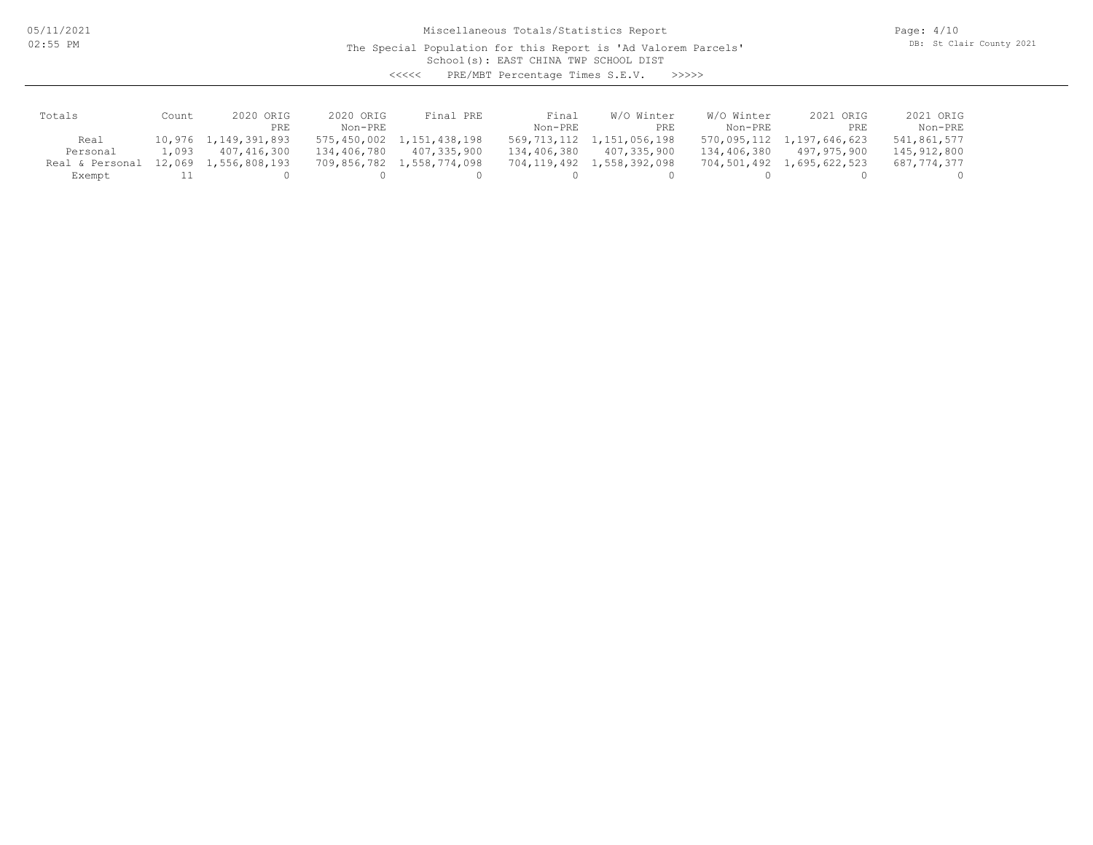05/11/2021 02:55 PM

Miscellaneous Totals/Statistics Report

The Special Population for this Report is 'Ad Valorem Parcels'

Page: 4/10 DB: St Clair County 2021

School(s): EAST CHINA TWP SCHOOL DIST

<<<<< PRE/MBT Percentage Times S.E.V. >>>>>

| Totals          | Count  | 2020 ORIG            | 2020 ORIG   | Final PRE                 | Final       | W/O Winter    | W/O Winter  | 2021 ORIG                 | 2021 ORIG   |
|-----------------|--------|----------------------|-------------|---------------------------|-------------|---------------|-------------|---------------------------|-------------|
|                 |        | PRE                  | $Non-PRF$   |                           | Non-PRE     | PRE           | Non-PRE     | PRE                       | Non-PRE     |
| Real            |        | 10,976 1,149,391,893 |             | 575,450,002 1,151,438,198 | 569,713,112 | 1,151,056,198 |             | 570,095,112 1,197,646,623 | 541,861,577 |
| Personal        | 1,093  | 407,416,300          | 134,406,780 | 407,335,900               | 134,406,380 | 407,335,900   | 134,406,380 | 497,975,900               | 145,912,800 |
| Real & Personal | 12,069 | 1,556,808,193        |             | 709,856,782 1,558,774,098 | 704,119,492 | 1,558,392,098 | 704,501,492 | 1,695,622,523             | 687,774,377 |
| Exempt          |        |                      |             |                           |             |               |             |                           |             |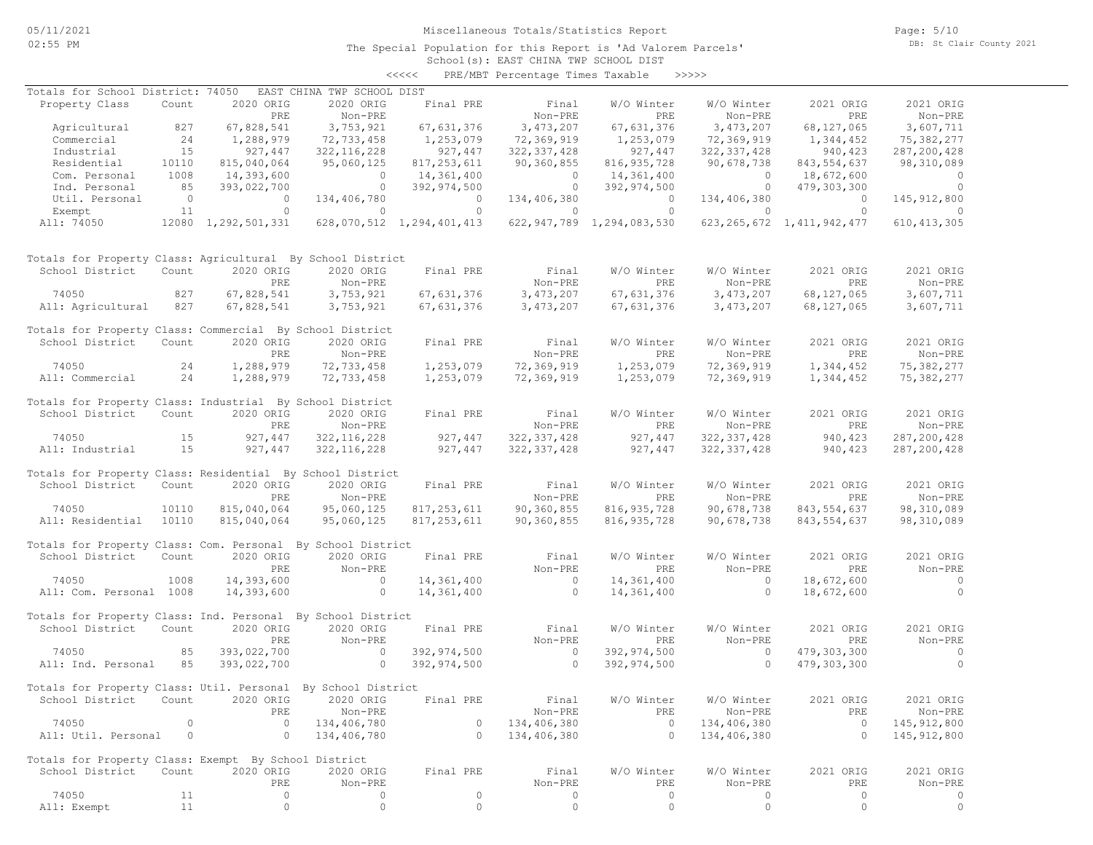School(s): EAST CHINA TWP SCHOOL DIST <<<<< PRE/MBT Percentage Times Taxable >>>>>

| Totals for School District: 74050                            |                |                     | EAST CHINA TWP SCHOOL DIST |                           |                |                                |                |                                |               |
|--------------------------------------------------------------|----------------|---------------------|----------------------------|---------------------------|----------------|--------------------------------|----------------|--------------------------------|---------------|
| Property Class                                               | Count          | 2020 ORIG           | 2020 ORIG                  | Final PRE                 | Final          | W/O Winter                     | W/O Winter     | 2021 ORIG                      | 2021 ORIG     |
|                                                              |                | PRE                 | Non-PRE                    |                           | Non-PRE        | PRE                            | Non-PRE        | PRE                            | Non-PRE       |
| Agricultural                                                 | 827            | 67,828,541          | 3,753,921                  | 67,631,376                | 3, 473, 207    | 67,631,376                     | 3,473,207      | 68,127,065                     | 3,607,711     |
| Commercial                                                   | 24             | 1,288,979           | 72,733,458                 | 1,253,079                 | 72,369,919     | 1,253,079                      | 72,369,919     | 1,344,452                      | 75,382,277    |
| Industrial                                                   | 15             | 927,447             | 322, 116, 228              | 927,447                   | 322, 337, 428  | 927,447                        | 322, 337, 428  | 940, 423                       | 287, 200, 428 |
| Residential                                                  | 10110          | 815,040,064         | 95,060,125                 | 817, 253, 611             | 90,360,855     | 816, 935, 728                  | 90,678,738     | 843, 554, 637                  | 98,310,089    |
| Com. Personal                                                | 1008           | 14,393,600          | $\overline{0}$             | 14,361,400                | $\circ$        | 14,361,400                     | $\circ$        | 18,672,600                     | $\circ$       |
| Ind. Personal                                                | 85             | 393,022,700         | $\overline{0}$             | 392,974,500               | $\overline{0}$ | 392,974,500                    |                | $0\qquad 479,303,300$          | $\circ$       |
| Util. Personal                                               | $\overline{0}$ | $\overline{0}$      | 134,406,780                | $\overline{0}$            | 134,406,380    | $\overline{0}$                 | 134,406,380    | $\overline{0}$                 | 145, 912, 800 |
| Exempt                                                       | 11             | $\circ$             | $\circ$                    | $\circ$                   | $\circ$        | $\Omega$                       | $\circ$        | $\bigcirc$                     | $\Omega$      |
| All: 74050                                                   |                | 12080 1,292,501,331 |                            | 628,070,512 1,294,401,413 |                | 622, 947, 789 1, 294, 083, 530 |                | 623, 265, 672 1, 411, 942, 477 | 610, 413, 305 |
|                                                              |                |                     |                            |                           |                |                                |                |                                |               |
| Totals for Property Class: Agricultural By School District   |                |                     |                            |                           |                |                                |                |                                |               |
| School District                                              | Count          | 2020 ORIG           | 2020 ORIG                  | Final PRE                 | Final          | W/O Winter                     | W/O Winter     | 2021 ORIG                      | 2021 ORIG     |
|                                                              |                | PRE                 | Non-PRE                    |                           | Non-PRE        | PRE                            | Non-PRE        | PRE                            | Non-PRE       |
| 74050                                                        | 827            | 67,828,541          | 3,753,921                  | 67,631,376                | 3,473,207      | 67, 631, 376                   | 3,473,207      | 68,127,065                     | 3,607,711     |
| All: Agricultural                                            | 827            | 67,828,541          | 3,753,921                  | 67,631,376                | 3,473,207      | 67,631,376                     | 3,473,207      | 68,127,065                     | 3,607,711     |
| Totals for Property Class: Commercial By School District     |                |                     |                            |                           |                |                                |                |                                |               |
| School District                                              | Count          | 2020 ORIG           | 2020 ORIG                  | Final PRE                 | Final          | W/O Winter                     | W/O Winter     | 2021 ORIG                      | 2021 ORIG     |
|                                                              |                | PRE                 | Non-PRE                    |                           | Non-PRE        | PRE                            | Non-PRE        | PRE                            | Non-PRE       |
| 74050                                                        | 24             | 1,288,979           | 72,733,458                 | 1,253,079                 | 72,369,919     | 1,253,079                      | 72,369,919     | 1,344,452                      | 75,382,277    |
| All: Commercial                                              | 24             | 1,288,979           | 72,733,458                 | 1,253,079                 | 72,369,919     | 1,253,079                      | 72,369,919     | 1,344,452                      | 75,382,277    |
| Totals for Property Class: Industrial By School District     |                |                     |                            |                           |                |                                |                |                                |               |
| School District                                              | Count          | 2020 ORIG           | 2020 ORIG                  | Final PRE                 | Final          | W/O Winter                     | W/O Winter     | 2021 ORIG                      | 2021 ORIG     |
|                                                              |                | PRE                 | Non-PRE                    |                           | Non-PRE        | PRE                            | Non-PRE        | PRE                            | Non-PRE       |
|                                                              |                |                     |                            | 927, 447                  | 322, 337, 428  |                                |                |                                |               |
| 74050                                                        | 15             | 927,447             | 322, 116, 228              |                           |                | 927,447                        | 322, 337, 428  | 940,423                        | 287, 200, 428 |
| All: Industrial                                              | 15             | 927,447             | 322, 116, 228              | 927,447                   | 322, 337, 428  | 927,447                        | 322, 337, 428  | 940,423                        | 287, 200, 428 |
| Totals for Property Class: Residential By School District    |                |                     |                            |                           |                |                                |                |                                |               |
| School District                                              | Count          | 2020 ORIG           | 2020 ORIG                  | Final PRE                 | Final          | W/O Winter                     | W/O Winter     | 2021 ORIG                      | 2021 ORIG     |
|                                                              |                | PRE                 | Non-PRE                    |                           | Non-PRE        | PRE                            | Non-PRE        | PRE                            | Non-PRE       |
| 74050                                                        | 10110          | 815,040,064         | 95,060,125                 | 817, 253, 611             | 90,360,855     | 816, 935, 728                  | 90,678,738     | 843, 554, 637                  | 98,310,089    |
| All: Residential                                             | 10110          | 815,040,064         | 95,060,125                 | 817, 253, 611             | 90,360,855     | 816, 935, 728                  | 90,678,738     | 843,554,637                    | 98,310,089    |
| Totals for Property Class: Com. Personal By School District  |                |                     |                            |                           |                |                                |                |                                |               |
| School District                                              | Count          | 2020 ORIG           | 2020 ORIG                  | Final PRE                 | Final          | W/O Winter                     | W/O Winter     | 2021 ORIG                      | 2021 ORIG     |
|                                                              |                | PRE                 | Non-PRE                    |                           | Non-PRE        | PRE                            | Non-PRE        | PRE                            | Non-PRE       |
| 74050                                                        | 1008           | 14,393,600          | $\sim$ 0                   | 14,361,400                | $\sim$ 0       | 14,361,400                     | $\overline{0}$ | 18,672,600                     | $\sim$ 0      |
|                                                              |                |                     | $\overline{0}$             |                           | $\overline{0}$ |                                | $\circ$        |                                | $\circ$       |
| All: Com. Personal 1008                                      |                | 14,393,600          |                            | 14,361,400                |                | 14,361,400                     |                | 18,672,600                     |               |
| Totals for Property Class: Ind. Personal By School District  |                |                     |                            |                           |                |                                |                |                                |               |
| School District                                              | Count          | 2020 ORIG           | 2020 ORIG                  | Final PRE                 | Final          | W/O Winter                     | W/O Winter     | 2021 ORIG                      | 2021 ORIG     |
|                                                              |                | PRE                 | Non-PRE                    |                           | Non-PRE        | PRE                            | Non-PRE        | PRE                            | Non-PRE       |
| 74050                                                        | 85             | 393,022,700         | $\sim$ 0                   | 392,974,500               | $\sim$ 0       | 392,974,500                    | $\overline{0}$ | 479,303,300                    | $\circ$       |
| All: Ind. Personal                                           | 85             | 393,022,700         | $\sim$ 0                   | 392,974,500               | $\circ$        | 392,974,500                    | $\circ$        | 479,303,300                    | $\circ$       |
|                                                              |                |                     |                            |                           |                |                                |                |                                |               |
| Totals for Property Class: Util. Personal By School District |                |                     |                            |                           |                |                                |                |                                |               |
| School District Count 2020 ORIG 2020 ORIG Final PRE          |                |                     |                            |                           | Final          | W/O Winter                     | W/O Winter     | 2021 ORIG                      | 2021 ORIG     |
|                                                              |                | PRE                 | Non-PRE                    |                           | Non-PRE        | PRE                            | Non-PRE        | PRE                            | Non-PRE       |
| 74050                                                        | $\circ$        | $\circ$             | 134,406,780                | $\circ$                   | 134,406,380    | $\overline{0}$                 | 134,406,380    | $\overline{0}$                 | 145, 912, 800 |
| All: Util. Personal                                          | $\overline{0}$ | $\circ$             | 134,406,780                | $\circ$                   | 134,406,380    | $\overline{0}$                 | 134,406,380    | $\circ$                        | 145, 912, 800 |
|                                                              |                |                     |                            |                           |                |                                |                |                                |               |
| Totals for Property Class: Exempt By School District         |                |                     |                            |                           |                |                                |                |                                |               |
| School District                                              | Count          | 2020 ORIG           | 2020 ORIG                  | Final PRE                 | Final          | W/O Winter                     | W/O Winter     | 2021 ORIG                      | 2021 ORIG     |
|                                                              |                | PRE                 | Non-PRE                    |                           | Non-PRE        | PRE                            | Non-PRE        | PRE                            | Non-PRE       |
| 74050                                                        | 11             | $\circ$             | 0                          | $\circ$                   | $\circ$        | $\circ$                        | 0              | $\circ$                        | 0             |
| All: Exempt                                                  | 11             | $\circ$             | $\circ$                    | $\circ$                   | $\circ$        | $\circ$                        | $\circ$        | $\circ$                        | $\circ$       |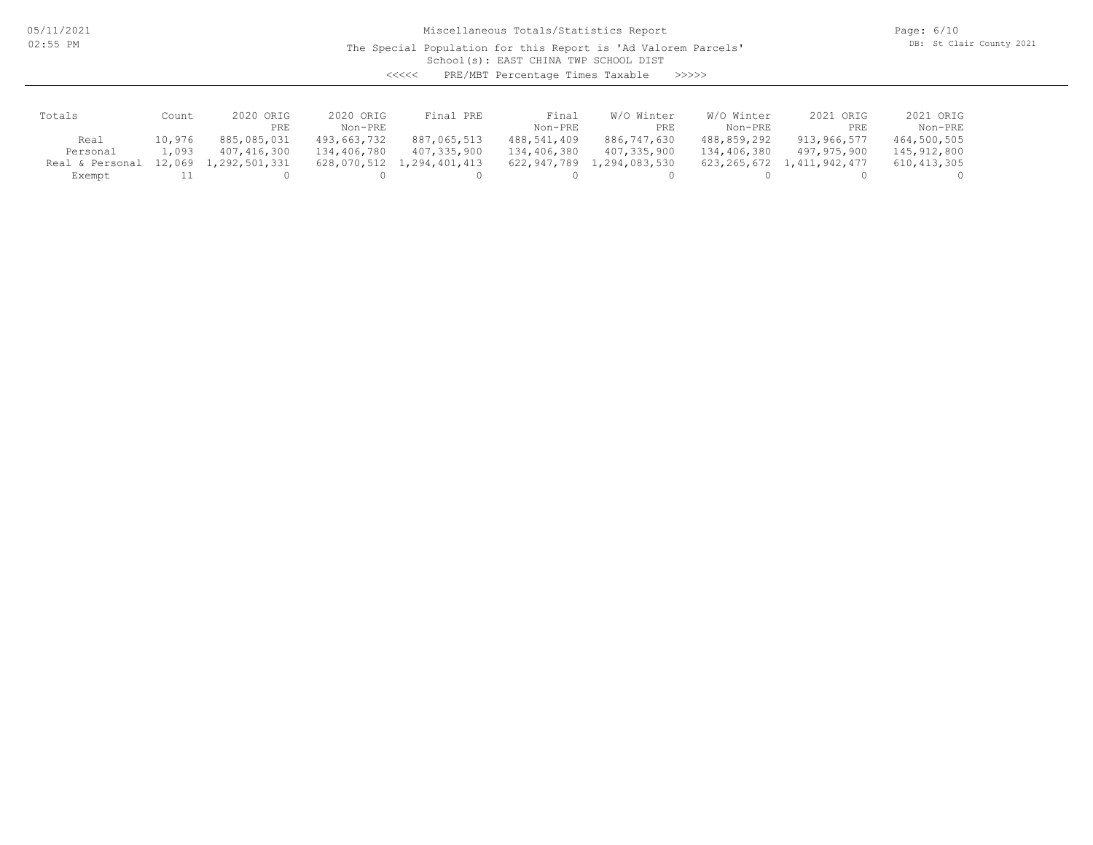05/11/2021 02:55 PM

Miscellaneous Totals/Statistics Report

The Special Population for this Report is 'Ad Valorem Parcels'

Page: 6/10 DB: St Clair County 2021

School(s): EAST CHINA TWP SCHOOL DIST

<<<<< PRE/MBT Percentage Times Taxable >>>>>

| Totals          | Count  | ORIG<br>2020  | 2020 ORIG     | Final PRE     | Final       | Winter<br>W/O   | W/O Winter  | 2021 ORIG     | 2021 ORIG     |
|-----------------|--------|---------------|---------------|---------------|-------------|-----------------|-------------|---------------|---------------|
|                 |        | PRE           | Non-PRE       |               | Non-PRE     | PRE             | Non-PRE     | PRE           | Non-PRE       |
| Real            | 10,976 | 885,085,031   | 493,663,732   | 887,065,513   | 488,541,409 | 886,747,630     | 488,859,292 | 913,966,577   | 464,500,505   |
| Personal        | 1,093  | 407,416,300   | 134,406,780   | 407,335,900   | 134,406,380 | 407,335,900     | 134,406,380 | 497,975,900   | 145,912,800   |
| Real & Personal | 12,069 | 1,292,501,331 | 628,070,512 1 | 1,294,401,413 | 622,947,789 | , 294, 083, 530 | 623,265,672 | 1,411,942,477 | 610, 413, 305 |
| Exempt          |        |               |               |               |             |                 |             |               |               |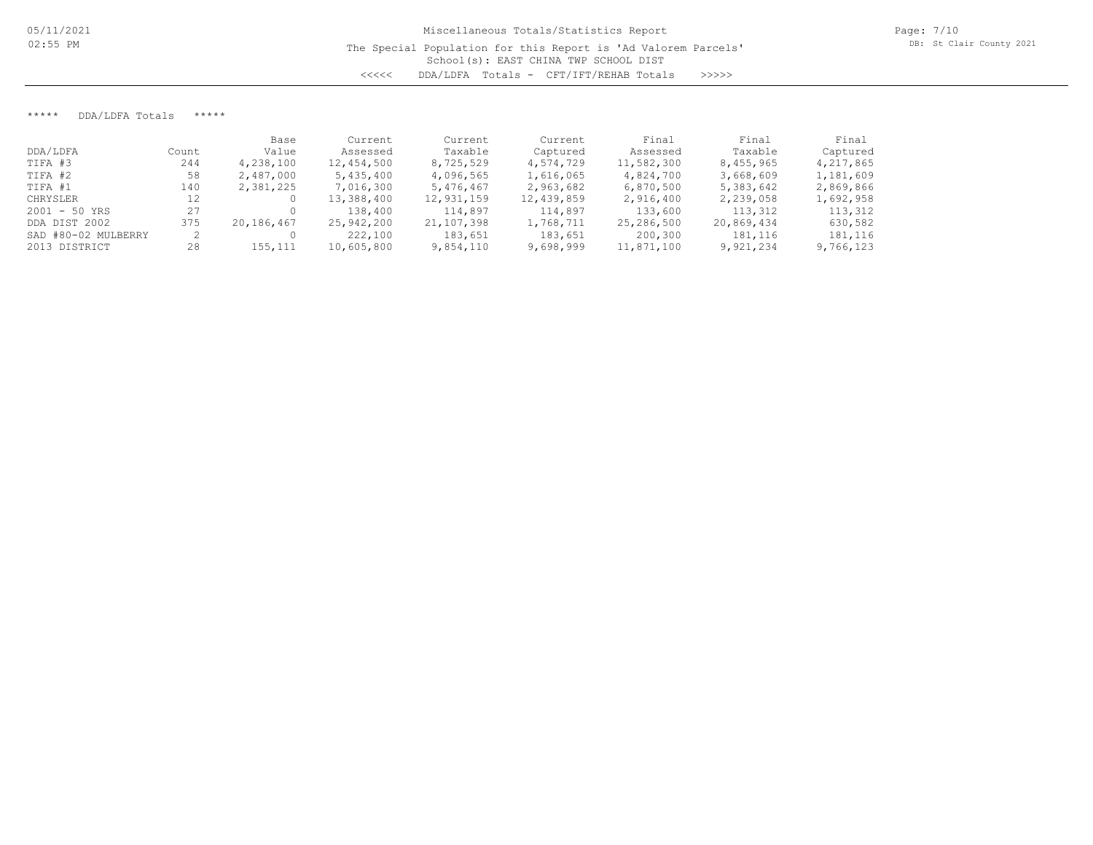\*\*\*\*\* DDA/LDFA Totals \*\*\*\*\*

|                     |       | Base       | Current    | Current    | Current    | Final      | Final      | Final     |
|---------------------|-------|------------|------------|------------|------------|------------|------------|-----------|
| DDA/LDFA            | Count | Value      | Assessed   | Taxable    | Captured   | Assessed   | Taxable    | Captured  |
| TIFA #3             | 244   | 4,238,100  | 12,454,500 | 8,725,529  | 4,574,729  | 11,582,300 | 8,455,965  | 4,217,865 |
| TIFA #2             | 58    | 2,487,000  | 5,435,400  | 4,096,565  | 1,616,065  | 4,824,700  | 3,668,609  | 1,181,609 |
| TIFA #1             | 140   | 2,381,225  | 7,016,300  | 5,476,467  | 2,963,682  | 6,870,500  | 5,383,642  | 2,869,866 |
| CHRYSLER            | 12    |            | 13,388,400 | 12,931,159 | 12,439,859 | 2,916,400  | 2,239,058  | 1,692,958 |
| $2001 - 50$ YRS     |       |            | 138,400    | 114,897    | 114,897    | 133,600    | 113,312    | 113,312   |
| DDA DIST 2002       | 375   | 20,186,467 | 25,942,200 | 21,107,398 | 1,768,711  | 25,286,500 | 20,869,434 | 630,582   |
| SAD #80-02 MULBERRY |       |            | 222,100    | 183,651    | 183,651    | 200,300    | 181,116    | 181,116   |
| 2013 DISTRICT       | 28    | 155,111    | 10,605,800 | 9,854,110  | 9,698,999  | 11,871,100 | 9,921,234  | 9,766,123 |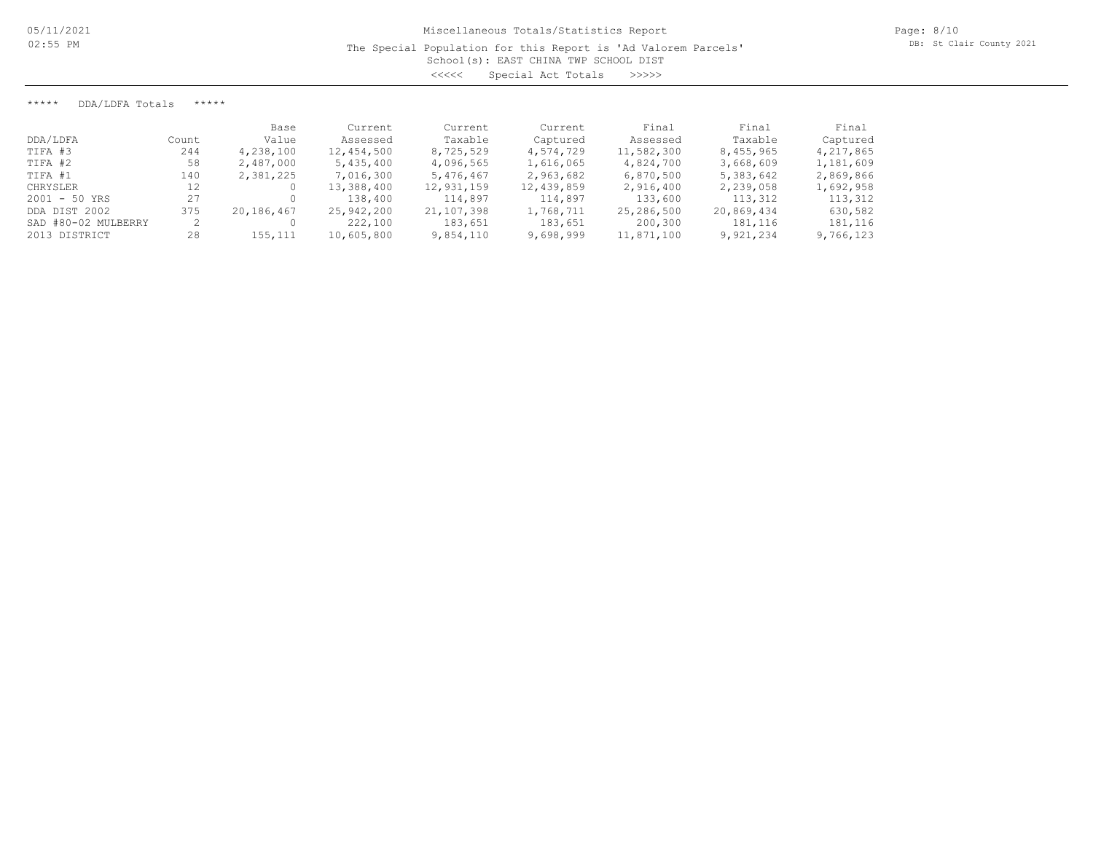\*\*\*\*\* DDA/LDFA Totals \*\*\*\*\*

|                     |       | Base       | Current    | Current    | Current    | Final      | Final      | Final     |
|---------------------|-------|------------|------------|------------|------------|------------|------------|-----------|
| DDA/LDFA            | Count | Value      | Assessed   | Taxable    | Captured   | Assessed   | Taxable    | Captured  |
| TIFA #3             | 244   | 4,238,100  | 12,454,500 | 8,725,529  | 4,574,729  | 11,582,300 | 8,455,965  | 4,217,865 |
| TIFA #2             | 58    | 2,487,000  | 5,435,400  | 4,096,565  | 1,616,065  | 4,824,700  | 3,668,609  | 1,181,609 |
| TIFA #1             | 140   | 2,381,225  | 7,016,300  | 5,476,467  | 2,963,682  | 6,870,500  | 5,383,642  | 2,869,866 |
| CHRYSLER            | 12    |            | 13,388,400 | 12,931,159 | 12,439,859 | 2,916,400  | 2,239,058  | 1,692,958 |
| $2001 - 50$ YRS     |       |            | 138,400    | 114,897    | 114,897    | 133,600    | 113,312    | 113,312   |
| DDA DIST 2002       | 375   | 20,186,467 | 25,942,200 | 21,107,398 | 1,768,711  | 25,286,500 | 20,869,434 | 630,582   |
| SAD #80-02 MULBERRY |       |            | 222,100    | 183,651    | 183,651    | 200,300    | 181,116    | 181,116   |
| 2013 DISTRICT       | 28    | 155,111    | 10,605,800 | 9,854,110  | 9,698,999  | 11,871,100 | 9,921,234  | 9,766,123 |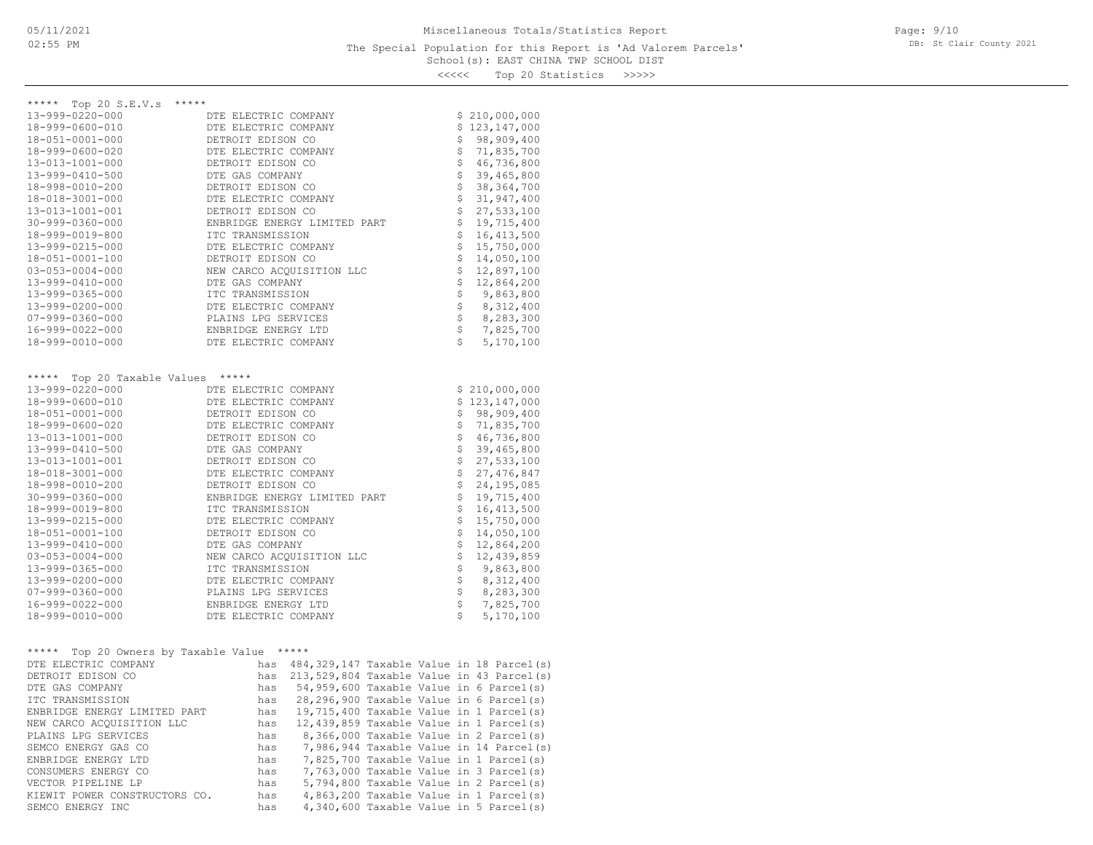### School(s): EAST CHINA TWP SCHOOL DIST The Special Population for this Report is 'Ad Valorem Parcels'

Page: 9/10 DB: St Clair County 2021

<<<<< Top 20 Statistics >>>>>

| ***** Top 20 S.E.V.s<br>*****              |                                                  |  |          |                                                                                               |
|--------------------------------------------|--------------------------------------------------|--|----------|-----------------------------------------------------------------------------------------------|
| 13-999-0220-000                            | DTE ELECTRIC COMPANY                             |  |          | \$210,000,000                                                                                 |
| 18-999-0600-010                            | DTE ELECTRIC COMPANY                             |  |          | \$123,147,000                                                                                 |
| 18-051-0001-000                            | DETROIT EDISON CO                                |  | \$       | 98,909,400                                                                                    |
| 18-999-0600-020                            | DTE ELECTRIC COMPANY                             |  | \$       | 71,835,700                                                                                    |
| 13-013-1001-000                            | DETROIT EDISON CO                                |  | \$       | 46,736,800                                                                                    |
| 13-999-0410-500                            | DTE GAS COMPANY                                  |  | \$       | 39,465,800                                                                                    |
| 18-998-0010-200                            | DETROIT EDISON CO                                |  | \$<br>\$ | 38, 364, 700                                                                                  |
| 18-018-3001-000                            | DTE ELECTRIC COMPANY                             |  | \$       | 31,947,400                                                                                    |
| 13-013-1001-001                            | DETROIT EDISON CO                                |  | \$       | 27,533,100                                                                                    |
| 30-999-0360-000<br>18-999-0019-800         | ENBRIDGE ENERGY LIMITED PART<br>ITC TRANSMISSION |  | \$       | 19,715,400                                                                                    |
| 13-999-0215-000                            | DTE ELECTRIC COMPANY                             |  | \$       | 16, 413, 500<br>15,750,000                                                                    |
| 18-051-0001-100                            | DETROIT EDISON CO                                |  | \$       | 14,050,100                                                                                    |
| $03 - 053 - 0004 - 000$                    | NEW CARCO ACOUISITION LLC                        |  | \$       | 12,897,100                                                                                    |
| 13-999-0410-000                            | DTE GAS COMPANY                                  |  | \$       | 12,864,200                                                                                    |
| 13-999-0365-000                            | ITC TRANSMISSION                                 |  | \$       | 9,863,800                                                                                     |
| 13-999-0200-000                            | DTE ELECTRIC COMPANY                             |  | \$       | 8,312,400                                                                                     |
| $07 - 999 - 0360 - 000$                    | PLAINS LPG SERVICES                              |  | \$       | 8,283,300                                                                                     |
| 16-999-0022-000                            | ENBRIDGE ENERGY LTD                              |  | \$       | 7,825,700                                                                                     |
| 18-999-0010-000                            | DTE ELECTRIC COMPANY                             |  | Š.       | 5,170,100                                                                                     |
|                                            |                                                  |  |          |                                                                                               |
|                                            |                                                  |  |          |                                                                                               |
| ***** Top 20 Taxable Values                | *****                                            |  |          |                                                                                               |
| 13-999-0220-000                            | DTE ELECTRIC COMPANY                             |  |          | \$210,000,000                                                                                 |
| 18-999-0600-010                            | DTE ELECTRIC COMPANY                             |  |          | \$123,147,000                                                                                 |
| 18-051-0001-000                            | DETROIT EDISON CO                                |  | \$       | 98,909,400                                                                                    |
| 18-999-0600-020                            | DTE ELECTRIC COMPANY                             |  | \$       | 71,835,700                                                                                    |
| 13-013-1001-000                            | DETROIT EDISON CO                                |  | \$       | 46,736,800                                                                                    |
| 13-999-0410-500                            | DTE GAS COMPANY                                  |  | \$       | 39,465,800                                                                                    |
| 13-013-1001-001                            | DETROIT EDISON CO                                |  | \$       | 27,533,100                                                                                    |
| 18-018-3001-000                            | DTE ELECTRIC COMPANY                             |  | \$       | 27, 476, 847                                                                                  |
| 18-998-0010-200                            | DETROIT EDISON CO                                |  | \$       | 24,195,085                                                                                    |
| 30-999-0360-000                            | ENBRIDGE ENERGY LIMITED PART                     |  | \$       | 19,715,400                                                                                    |
| 18-999-0019-800                            | ITC TRANSMISSION                                 |  | \$       | 16, 413, 500                                                                                  |
| 13-999-0215-000                            | DTE ELECTRIC COMPANY                             |  | \$       | 15,750,000                                                                                    |
| 18-051-0001-100                            | DETROIT EDISON CO                                |  | \$       | 14,050,100                                                                                    |
| 13-999-0410-000                            | DTE GAS COMPANY                                  |  | \$<br>\$ | 12,864,200                                                                                    |
| $03 - 053 - 0004 - 000$<br>13-999-0365-000 | NEW CARCO ACQUISITION LLC<br>ITC TRANSMISSION    |  | \$       | 12,439,859<br>9,863,800                                                                       |
| 13-999-0200-000                            | DTE ELECTRIC COMPANY                             |  | \$       | 8,312,400                                                                                     |
| $07 - 999 - 0360 - 000$                    | PLAINS LPG SERVICES                              |  | \$       | 8,283,300                                                                                     |
| 16-999-0022-000                            | ENBRIDGE ENERGY LTD                              |  |          | \$7,825,700                                                                                   |
| 18-999-0010-000                            | DTE ELECTRIC COMPANY                             |  | Ŝ.       | 5,170,100                                                                                     |
|                                            |                                                  |  |          |                                                                                               |
|                                            |                                                  |  |          |                                                                                               |
| ***** Top 20 Owners by Taxable Value ***** |                                                  |  |          |                                                                                               |
| DTE ELECTRIC COMPANY                       |                                                  |  |          | has 484,329,147 Taxable Value in 18 Parcel(s)                                                 |
| DETROIT EDISON CO                          | has                                              |  |          | $213,529,804$ Taxable Value in 43 Parcel(s)                                                   |
| DTE GAS COMPANY                            | has                                              |  |          | 54,959,600 Taxable Value in 6 Parcel(s)                                                       |
| ITC TRANSMISSION                           |                                                  |  |          | has 28,296,900 Taxable Value in 6 Parcel(s)                                                   |
| ENBRIDGE ENERGY LIMITED PART               | has                                              |  |          | 19,715,400 Taxable Value in 1 Parcel(s)                                                       |
| NEW CARCO ACQUISITION LLC                  |                                                  |  |          | has $12,439,859$ Taxable Value in 1 Parcel(s)<br>has $8,366,000$ Taxable Value in 2 Parcel(s) |
| PLAINS LPG SERVICES                        |                                                  |  |          |                                                                                               |
| SEMCO ENERGY GAS CO                        | has<br>has                                       |  |          | 7,986,944 Taxable Value in 14 Parcel(s)                                                       |
| ENBRIDGE ENERGY LTD                        |                                                  |  |          | 7,825,700 Taxable Value in 1 Parcel(s)                                                        |
| CONSUMERS ENERGY CO                        | has<br>has                                       |  |          | 7,763,000 Taxable Value in 3 Parcel(s)                                                        |
| VECTOR PIPELINE LP                         |                                                  |  |          | 5,794,800 Taxable Value in 2 Parcel(s)                                                        |
| KIEWIT POWER CONSTRUCTORS CO.              | has                                              |  |          | 4,863,200 Taxable Value in 1 Parcel(s)                                                        |

SEMCO ENERGY INC has 4,340,600 Taxable Value in 5 Parcel(s)